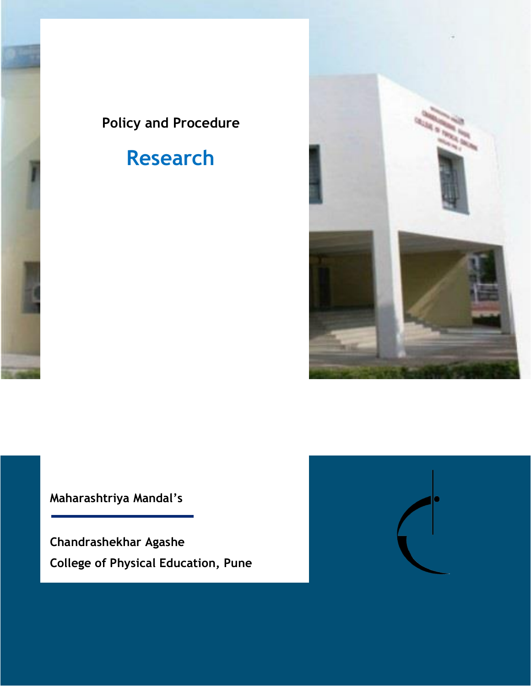## **Policy and Procedure**

# **Research**



**Maharashtriya Mandal's**

**Chandrashekhar Agashe College of Physical Education, Pune**

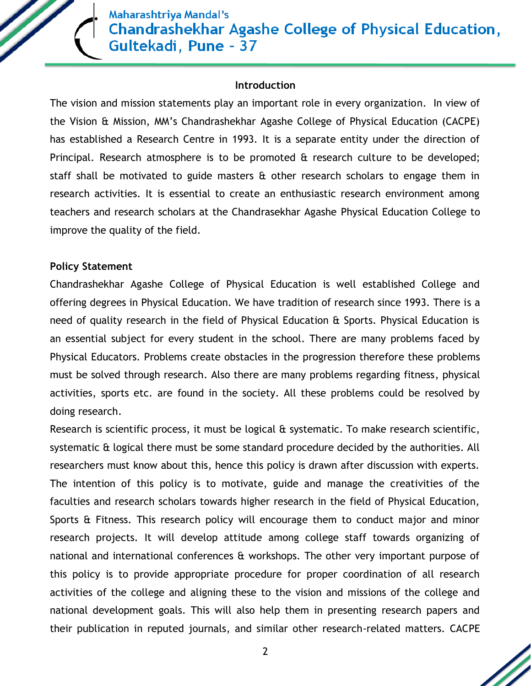Maharashtriya Mandal's **Chandrashekhar Agashe College of Physical Education,** Gultekadi, Pune - 37

#### **Introduction**

The vision and mission statements play an important role in every organization. In view of the Vision & Mission, MM's Chandrashekhar Agashe College of Physical Education (CACPE) has established a Research Centre in 1993. It is a separate entity under the direction of Principal. Research atmosphere is to be promoted & research culture to be developed; staff shall be motivated to guide masters  $\hat{a}$  other research scholars to engage them in research activities. It is essential to create an enthusiastic research environment among teachers and research scholars at the Chandrasekhar Agashe Physical Education College to improve the quality of the field.

#### **Policy Statement**

Chandrashekhar Agashe College of Physical Education is well established College and offering degrees in Physical Education. We have tradition of research since 1993. There is a need of quality research in the field of Physical Education & Sports. Physical Education is an essential subject for every student in the school. There are many problems faced by Physical Educators. Problems create obstacles in the progression therefore these problems must be solved through research. Also there are many problems regarding fitness, physical activities, sports etc. are found in the society. All these problems could be resolved by doing research.

Research is scientific process, it must be logical & systematic. To make research scientific, systematic & logical there must be some standard procedure decided by the authorities. All researchers must know about this, hence this policy is drawn after discussion with experts. The intention of this policy is to motivate, guide and manage the creativities of the faculties and research scholars towards higher research in the field of Physical Education, Sports & Fitness. This research policy will encourage them to conduct major and minor research projects. It will develop attitude among college staff towards organizing of national and international conferences & workshops. The other very important purpose of this policy is to provide appropriate procedure for proper coordination of all research activities of the college and aligning these to the vision and missions of the college and national development goals. This will also help them in presenting research papers and their publication in reputed journals, and similar other research-related matters. CACPE

2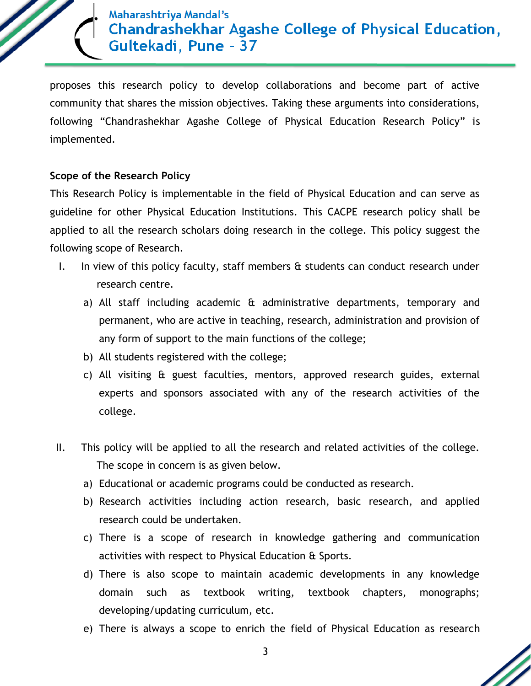

proposes this research policy to develop collaborations and become part of active community that shares the mission objectives. Taking these arguments into considerations, following "Chandrashekhar Agashe College of Physical Education Research Policy" is implemented.

#### **Scope of the Research Policy**

This Research Policy is implementable in the field of Physical Education and can serve as guideline for other Physical Education Institutions. This CACPE research policy shall be applied to all the research scholars doing research in the college. This policy suggest the following scope of Research.

- I. In view of this policy faculty, staff members & students can conduct research under research centre.
	- a) All staff including academic & administrative departments, temporary and permanent, who are active in teaching, research, administration and provision of any form of support to the main functions of the college;
	- b) All students registered with the college;
	- c) All visiting & guest faculties, mentors, approved research guides, external experts and sponsors associated with any of the research activities of the college.
- II. This policy will be applied to all the research and related activities of the college. The scope in concern is as given below.
	- a) Educational or academic programs could be conducted as research.
	- b) Research activities including action research, basic research, and applied research could be undertaken.
	- c) There is a scope of research in knowledge gathering and communication activities with respect to Physical Education & Sports.
	- d) There is also scope to maintain academic developments in any knowledge domain such as textbook writing, textbook chapters, monographs; developing/updating curriculum, etc.
	- e) There is always a scope to enrich the field of Physical Education as research

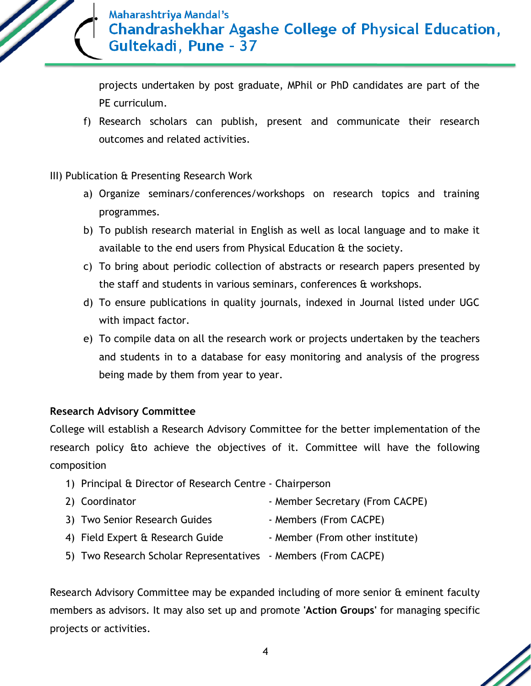

projects undertaken by post graduate, MPhil or PhD candidates are part of the PE curriculum.

f) Research scholars can publish, present and communicate their research outcomes and related activities.

#### III) Publication & Presenting Research Work

- a) Organize seminars/conferences/workshops on research topics and training programmes.
- b) To publish research material in English as well as local language and to make it available to the end users from Physical Education & the society.
- c) To bring about periodic collection of abstracts or research papers presented by the staff and students in various seminars, conferences & workshops.
- d) To ensure publications in quality journals, indexed in Journal listed under UGC with impact factor.
- e) To compile data on all the research work or projects undertaken by the teachers and students in to a database for easy monitoring and analysis of the progress being made by them from year to year.

#### **Research Advisory Committee**

College will establish a Research Advisory Committee for the better implementation of the research policy &to achieve the objectives of it. Committee will have the following composition

- 1) Principal & Director of Research Centre Chairperson
- 2) Coordinator  **Member Secretary (From CACPE)**
- 3) Two Senior Research Guides Members (From CACPE)
- 4) Field Expert & Research Guide Member (From other institute)
- 5) Two Research Scholar Representatives Members (From CACPE)

Research Advisory Committee may be expanded including of more senior & eminent faculty members as advisors. It may also set up and promote **'Action Groups'** for managing specific projects or activities.

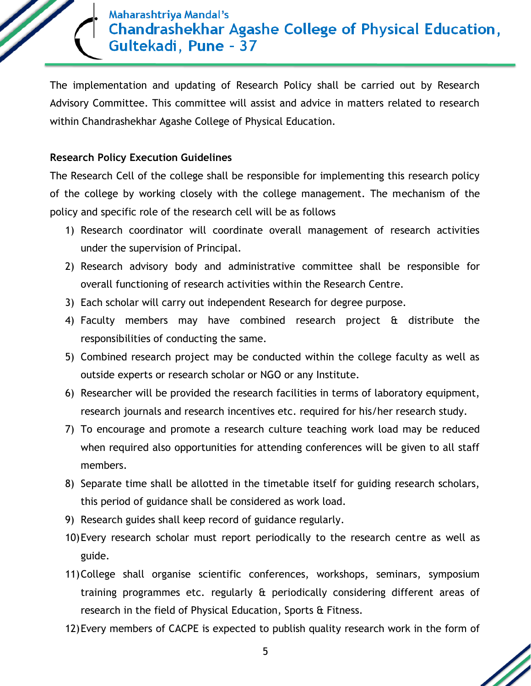### Maharashtriya Mandal's **Chandrashekhar Agashe College of Physical Education,** Gultekadi, Pune - 37

The implementation and updating of Research Policy shall be carried out by Research Advisory Committee. This committee will assist and advice in matters related to research within Chandrashekhar Agashe College of Physical Education.

#### **Research Policy Execution Guidelines**

The Research Cell of the college shall be responsible for implementing this research policy of the college by working closely with the college management. The mechanism of the policy and specific role of the research cell will be as follows

- 1) Research coordinator will coordinate overall management of research activities under the supervision of Principal.
- 2) Research advisory body and administrative committee shall be responsible for overall functioning of research activities within the Research Centre.
- 3) Each scholar will carry out independent Research for degree purpose.
- 4) Faculty members may have combined research project & distribute the responsibilities of conducting the same.
- 5) Combined research project may be conducted within the college faculty as well as outside experts or research scholar or NGO or any Institute.
- 6) Researcher will be provided the research facilities in terms of laboratory equipment, research journals and research incentives etc. required for his/her research study.
- 7) To encourage and promote a research culture teaching work load may be reduced when required also opportunities for attending conferences will be given to all staff members.
- 8) Separate time shall be allotted in the timetable itself for guiding research scholars, this period of guidance shall be considered as work load.
- 9) Research guides shall keep record of guidance regularly.
- 10)Every research scholar must report periodically to the research centre as well as guide.
- 11)College shall organise scientific conferences, workshops, seminars, symposium training programmes etc. regularly & periodically considering different areas of research in the field of Physical Education, Sports & Fitness.
- 12)Every members of CACPE is expected to publish quality research work in the form of

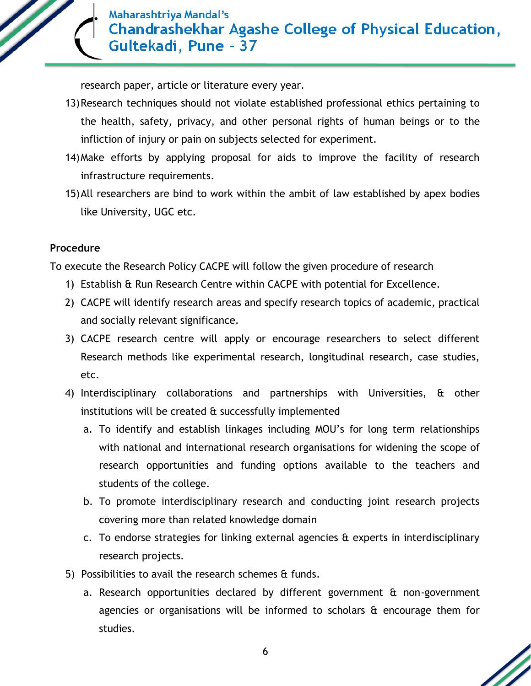

research paper, article or literature every year.

- 13)Research techniques should not violate established professional ethics pertaining to the health, safety, privacy, and other personal rights of human beings or to the infliction of injury or pain on subjects selected for experiment.
- 14)Make efforts by applying proposal for aids to improve the facility of research infrastructure requirements.
- 15)All researchers are bind to work within the ambit of law established by apex bodies like University, UGC etc.

#### **Procedure**

To execute the Research Policy CACPE will follow the given procedure of research

- 1) Establish & Run Research Centre within CACPE with potential for Excellence.
- 2) CACPE will identify research areas and specify research topics of academic, practical and socially relevant significance.
- 3) CACPE research centre will apply or encourage researchers to select different Research methods like experimental research, longitudinal research, case studies, etc.
- 4) Interdisciplinary collaborations and partnerships with Universities, & other institutions will be created  $\alpha$  successfully implemented
	- a. To identify and establish linkages including MOU's for long term relationships with national and international research organisations for widening the scope of research opportunities and funding options available to the teachers and students of the college.
	- b. To promote interdisciplinary research and conducting joint research projects covering more than related knowledge domain
	- c. To endorse strategies for linking external agencies & experts in interdisciplinary research projects.
- 5) Possibilities to avail the research schemes & funds.
	- a. Research opportunities declared by different government & non-government agencies or organisations will be informed to scholars & encourage them for studies.

6